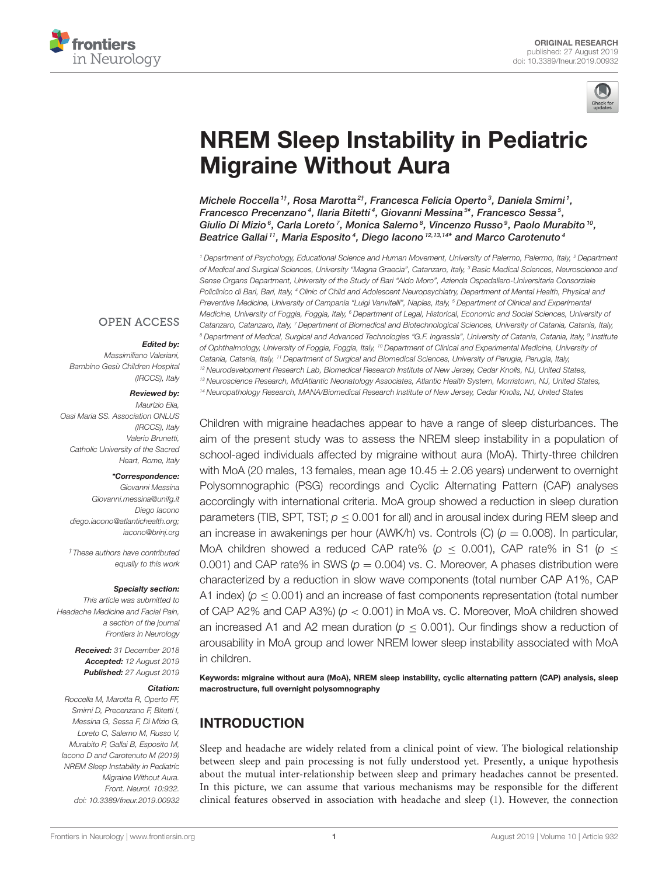



# [NREM Sleep Instability in Pediatric](https://www.frontiersin.org/articles/10.3389/fneur.2019.00932/full) Migraine Without Aura

[Michele Roccella](http://loop.frontiersin.org/people/788456/overview) <sup>1†</sup>, [Rosa Marotta](http://loop.frontiersin.org/people/655375/overview) <sup>2†</sup>, [Francesca Felicia Operto](http://loop.frontiersin.org/people/512863/overview) <sup>3</sup>, [Daniela Smirni](http://loop.frontiersin.org/people/636812/overview) <sup>1</sup>, Francesco Precenzano<sup>4</sup>, [Ilaria Bitetti](http://loop.frontiersin.org/people/466467/overview)<sup>4</sup>, [Giovanni Messina](http://loop.frontiersin.org/people/168807/overview)<sup>5\*</sup>, [Francesco Sessa](http://loop.frontiersin.org/people/491499/overview)<sup>5</sup>, [Giulio Di Mizio](http://loop.frontiersin.org/people/561330/overview)  $^6$ , [Carla Loreto](http://loop.frontiersin.org/people/426003/overview)  $^7$ , [Monica Salerno](http://loop.frontiersin.org/people/561807/overview)  $^8$ , [Vincenzo Russo](http://loop.frontiersin.org/people/664884/overview)  $^9$ , Paolo Murabito  $^{10}$ , Beatrice Gallai<sup>11</sup>, [Maria Esposito](http://loop.frontiersin.org/people/664614/overview)<sup>4</sup>, [Diego Iacono](http://loop.frontiersin.org/people/434292/overview)<sup>12,13,14\*</sup> and [Marco Carotenuto](http://loop.frontiersin.org/people/245404/overview)<sup>4</sup>

<sup>1</sup> Department of Psychology, Educational Science and Human Movement, University of Palermo, Palermo, Italy, <sup>2</sup> Department of Medical and Surgical Sciences, University "Magna Graecia", Catanzaro, Italy, <sup>3</sup> Basic Medical Sciences, Neuroscience and Sense Organs Department, University of the Study of Bari "Aldo Moro", Azienda Ospedaliero-Universitaria Consorziale Policlinico di Bari, Bari, Italy, <sup>4</sup> Clinic of Child and Adolescent Neuropsychiatry, Department of Mental Health, Physical and Preventive Medicine, University of Campania "Luigi Vanvitelli", Naples, Italy, <sup>5</sup> Department of Clinical and Experimental Medicine, University of Foggia, Foggia, Italy, <sup>6</sup> Department of Legal, Historical, Economic and Social Sciences, University of Catanzaro, Catanzaro, Italy, 7 Department of Biomedical and Biotechnological Sciences, University of Catania, Catania, Italy, <sup>8</sup> Department of Medical, Surgical and Advanced Technologies "G.F. Ingrassia", University of Catania, Catania, Italy, <sup>9</sup> Institute of Ophthalmology, University of Foggia, Foggia, Italy, <sup>10</sup> Department of Clinical and Experimental Medicine, University of Catania, Catania, Italy, <sup>11</sup> Department of Surgical and Biomedical Sciences, University of Perugia, Perugia, Italy, <sup>12</sup> Neurodevelopment Research Lab, Biomedical Research Institute of New Jersey, Cedar Knolls, NJ, United States, <sup>13</sup> Neuroscience Research, MidAtlantic Neonatology Associates, Atlantic Health System, Morristown, NJ, United States, <sup>14</sup> Neuropathology Research, MANA/Biomedical Research Institute of New Jersey, Cedar Knolls, NJ, United States

**OPEN ACCESS** 

#### Edited by:

Massimiliano Valeriani, Bambino Gesù Children Hospital (IRCCS), Italy

#### Reviewed by:

Maurizio Elia, Oasi Maria SS. Association ONLUS (IRCCS), Italy Valerio Brunetti, Catholic University of the Sacred Heart, Rome, Italy

#### \*Correspondence:

Giovanni Messina [Giovanni.messina@unifg.it](mailto:Giovanni.messina@unifg.it) Diego Iacono [diego.iacono@atlantichealth.org;](mailto:diego.iacono@atlantichealth.org) [iacono@brinj.org](mailto:iacono@brinj.org)

†These authors have contributed equally to this work

#### Specialty section:

This article was submitted to Headache Medicine and Facial Pain, a section of the journal Frontiers in Neurology

> Received: 31 December 2018 Accepted: 12 August 2019 Published: 27 August 2019

#### Citation:

Roccella M, Marotta R, Operto FF, Smirni D, Precenzano F, Bitetti I, Messina G, Sessa F, Di Mizio G, Loreto C, Salerno M, Russo V, Murabito P, Gallai B, Esposito M, Iacono D and Carotenuto M (2019) NREM Sleep Instability in Pediatric Migraine Without Aura. Front. Neurol. 10:932. doi: [10.3389/fneur.2019.00932](https://doi.org/10.3389/fneur.2019.00932)

Children with migraine headaches appear to have a range of sleep disturbances. The aim of the present study was to assess the NREM sleep instability in a population of school-aged individuals affected by migraine without aura (MoA). Thirty-three children with MoA (20 males, 13 females, mean age  $10.45 \pm 2.06$  years) underwent to overnight Polysomnographic (PSG) recordings and Cyclic Alternating Pattern (CAP) analyses accordingly with international criteria. MoA group showed a reduction in sleep duration parameters (TIB, SPT, TST;  $p < 0.001$  for all) and in arousal index during REM sleep and an increase in awakenings per hour (AWK/h) vs. Controls (C) ( $p = 0.008$ ). In particular, MoA children showed a reduced CAP rate% ( $p < 0.001$ ), CAP rate% in S1 ( $p <$ 0.001) and CAP rate% in SWS ( $p = 0.004$ ) vs. C. Moreover, A phases distribution were characterized by a reduction in slow wave components (total number CAP A1%, CAP A1 index) ( $p < 0.001$ ) and an increase of fast components representation (total number of CAP A2% and CAP A3%) ( $p < 0.001$ ) in MoA vs. C. Moreover, MoA children showed an increased A1 and A2 mean duration ( $p < 0.001$ ). Our findings show a reduction of arousability in MoA group and lower NREM lower sleep instability associated with MoA in children.

Keywords: migraine without aura (MoA), NREM sleep instability, cyclic alternating pattern (CAP) analysis, sleep macrostructure, full overnight polysomnography

# INTRODUCTION

Sleep and headache are widely related from a clinical point of view. The biological relationship between sleep and pain processing is not fully understood yet. Presently, a unique hypothesis about the mutual inter-relationship between sleep and primary headaches cannot be presented. In this picture, we can assume that various mechanisms may be responsible for the different clinical features observed in association with headache and sleep [\(1\)](#page-4-0). However, the connection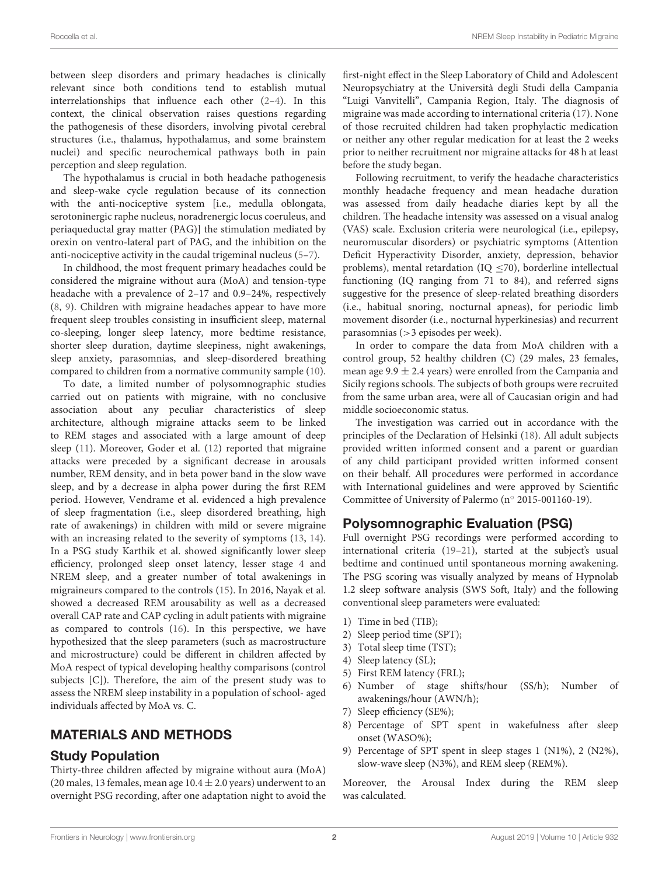between sleep disorders and primary headaches is clinically relevant since both conditions tend to establish mutual interrelationships that influence each other [\(2–](#page-4-1)[4\)](#page-4-2). In this context, the clinical observation raises questions regarding the pathogenesis of these disorders, involving pivotal cerebral structures (i.e., thalamus, hypothalamus, and some brainstem nuclei) and specific neurochemical pathways both in pain perception and sleep regulation.

The hypothalamus is crucial in both headache pathogenesis and sleep-wake cycle regulation because of its connection with the anti-nociceptive system [i.e., medulla oblongata, serotoninergic raphe nucleus, noradrenergic locus coeruleus, and periaqueductal gray matter (PAG)] the stimulation mediated by orexin on ventro-lateral part of PAG, and the inhibition on the anti-nociceptive activity in the caudal trigeminal nucleus [\(5–](#page-4-3)[7\)](#page-4-4).

In childhood, the most frequent primary headaches could be considered the migraine without aura (MoA) and tension-type headache with a prevalence of 2–17 and 0.9–24%, respectively [\(8,](#page-4-5) [9\)](#page-4-6). Children with migraine headaches appear to have more frequent sleep troubles consisting in insufficient sleep, maternal co-sleeping, longer sleep latency, more bedtime resistance, shorter sleep duration, daytime sleepiness, night awakenings, sleep anxiety, parasomnias, and sleep-disordered breathing compared to children from a normative community sample [\(10\)](#page-4-7).

To date, a limited number of polysomnographic studies carried out on patients with migraine, with no conclusive association about any peculiar characteristics of sleep architecture, although migraine attacks seem to be linked to REM stages and associated with a large amount of deep sleep [\(11\)](#page-4-8). Moreover, Goder et al. [\(12\)](#page-4-9) reported that migraine attacks were preceded by a significant decrease in arousals number, REM density, and in beta power band in the slow wave sleep, and by a decrease in alpha power during the first REM period. However, Vendrame et al. evidenced a high prevalence of sleep fragmentation (i.e., sleep disordered breathing, high rate of awakenings) in children with mild or severe migraine with an increasing related to the severity of symptoms [\(13,](#page-4-10) [14\)](#page-4-11). In a PSG study Karthik et al. showed significantly lower sleep efficiency, prolonged sleep onset latency, lesser stage 4 and NREM sleep, and a greater number of total awakenings in migraineurs compared to the controls [\(15\)](#page-4-12). In 2016, Nayak et al. showed a decreased REM arousability as well as a decreased overall CAP rate and CAP cycling in adult patients with migraine as compared to controls [\(16\)](#page-4-13). In this perspective, we have hypothesized that the sleep parameters (such as macrostructure and microstructure) could be different in children affected by MoA respect of typical developing healthy comparisons (control subjects [C]). Therefore, the aim of the present study was to assess the NREM sleep instability in a population of school- aged individuals affected by MoA vs. C.

# MATERIALS AND METHODS

### Study Population

Thirty-three children affected by migraine without aura (MoA) (20 males, 13 females, mean age  $10.4 \pm 2.0$  years) underwent to an overnight PSG recording, after one adaptation night to avoid the first-night effect in the Sleep Laboratory of Child and Adolescent Neuropsychiatry at the Università degli Studi della Campania "Luigi Vanvitelli", Campania Region, Italy. The diagnosis of migraine was made according to international criteria [\(17\)](#page-4-14). None of those recruited children had taken prophylactic medication or neither any other regular medication for at least the 2 weeks prior to neither recruitment nor migraine attacks for 48 h at least before the study began.

Following recruitment, to verify the headache characteristics monthly headache frequency and mean headache duration was assessed from daily headache diaries kept by all the children. The headache intensity was assessed on a visual analog (VAS) scale. Exclusion criteria were neurological (i.e., epilepsy, neuromuscular disorders) or psychiatric symptoms (Attention Deficit Hyperactivity Disorder, anxiety, depression, behavior problems), mental retardation (IQ  $\leq$ 70), borderline intellectual functioning (IQ ranging from 71 to 84), and referred signs suggestive for the presence of sleep-related breathing disorders (i.e., habitual snoring, nocturnal apneas), for periodic limb movement disorder (i.e., nocturnal hyperkinesias) and recurrent parasomnias (>3 episodes per week).

In order to compare the data from MoA children with a control group, 52 healthy children (C) (29 males, 23 females, mean age  $9.9 \pm 2.4$  years) were enrolled from the Campania and Sicily regions schools. The subjects of both groups were recruited from the same urban area, were all of Caucasian origin and had middle socioeconomic status.

The investigation was carried out in accordance with the principles of the Declaration of Helsinki [\(18\)](#page-4-15). All adult subjects provided written informed consent and a parent or guardian of any child participant provided written informed consent on their behalf. All procedures were performed in accordance with International guidelines and were approved by Scientific Committee of University of Palermo (n◦ 2015-001160-19).

# Polysomnographic Evaluation (PSG)

Full overnight PSG recordings were performed according to international criteria [\(19–](#page-4-16)[21\)](#page-5-0), started at the subject's usual bedtime and continued until spontaneous morning awakening. The PSG scoring was visually analyzed by means of Hypnolab 1.2 sleep software analysis (SWS Soft, Italy) and the following conventional sleep parameters were evaluated:

- 1) Time in bed (TIB);
- 2) Sleep period time (SPT);
- 3) Total sleep time (TST);
- 4) Sleep latency (SL);
- 5) First REM latency (FRL);
- 6) Number of stage shifts/hour (SS/h); Number of awakenings/hour (AWN/h);
- 7) Sleep efficiency (SE%);
- 8) Percentage of SPT spent in wakefulness after sleep onset (WASO%);
- 9) Percentage of SPT spent in sleep stages 1 (N1%), 2 (N2%), slow-wave sleep (N3%), and REM sleep (REM%).

Moreover, the Arousal Index during the REM sleep was calculated.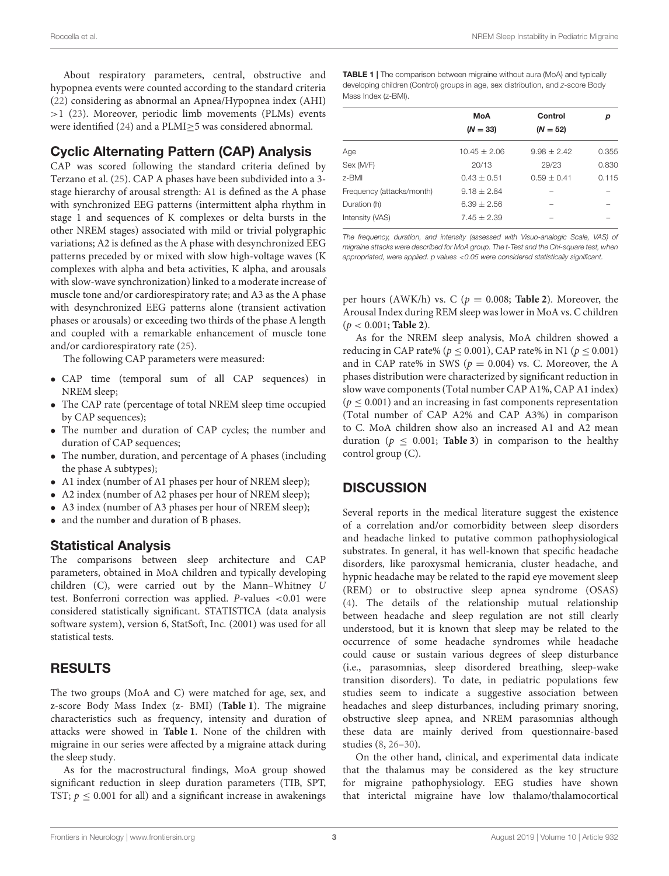About respiratory parameters, central, obstructive and hypopnea events were counted according to the standard criteria [\(22\)](#page-5-1) considering as abnormal an Apnea/Hypopnea index (AHI) >1 [\(23\)](#page-5-2). Moreover, periodic limb movements (PLMs) events were identified [\(24\)](#page-5-3) and a PLMI≥5 was considered abnormal.

# Cyclic Alternating Pattern (CAP) Analysis

CAP was scored following the standard criteria defined by Terzano et al. [\(25\)](#page-5-4). CAP A phases have been subdivided into a 3 stage hierarchy of arousal strength: A1 is defined as the A phase with synchronized EEG patterns (intermittent alpha rhythm in stage 1 and sequences of K complexes or delta bursts in the other NREM stages) associated with mild or trivial polygraphic variations; A2 is defined as the A phase with desynchronized EEG patterns preceded by or mixed with slow high-voltage waves (K complexes with alpha and beta activities, K alpha, and arousals with slow-wave synchronization) linked to a moderate increase of muscle tone and/or cardiorespiratory rate; and A3 as the A phase with desynchronized EEG patterns alone (transient activation phases or arousals) or exceeding two thirds of the phase A length and coupled with a remarkable enhancement of muscle tone and/or cardiorespiratory rate [\(25\)](#page-5-4).

The following CAP parameters were measured:

- CAP time (temporal sum of all CAP sequences) in NREM sleep;
- The CAP rate (percentage of total NREM sleep time occupied by CAP sequences);
- The number and duration of CAP cycles; the number and duration of CAP sequences;
- The number, duration, and percentage of A phases (including the phase A subtypes);
- A1 index (number of A1 phases per hour of NREM sleep);
- A2 index (number of A2 phases per hour of NREM sleep);
- A3 index (number of A3 phases per hour of NREM sleep);
- and the number and duration of B phases.

### Statistical Analysis

The comparisons between sleep architecture and CAP parameters, obtained in MoA children and typically developing children (C), were carried out by the Mann–Whitney U test. Bonferroni correction was applied. P-values <0.01 were considered statistically significant. STATISTICA (data analysis software system), version 6, StatSoft, Inc. (2001) was used for all statistical tests.

# RESULTS

The two groups (MoA and C) were matched for age, sex, and z-score Body Mass Index (z- BMI) (**[Table 1](#page-2-0)**). The migraine characteristics such as frequency, intensity and duration of attacks were showed in **[Table 1](#page-2-0)**. None of the children with migraine in our series were affected by a migraine attack during the sleep study.

As for the macrostructural findings, MoA group showed significant reduction in sleep duration parameters (TIB, SPT, TST;  $p \leq 0.001$  for all) and a significant increase in awakenings

<span id="page-2-0"></span>TABLE 1 | The comparison between migraine without aura (MoA) and typically developing children (Control) groups in age, sex distribution, and z-score Body Mass Index (z-BMI).

|                           | MoA            | Control         | р     |  |
|---------------------------|----------------|-----------------|-------|--|
|                           | $(N = 33)$     | $(N = 52)$      |       |  |
| Age                       | $10.45 + 2.06$ | $9.98 \pm 2.42$ | 0.355 |  |
| Sex (M/F)                 | 20/13          | 29/23           | 0.830 |  |
| 7-BMI                     | $0.43 + 0.51$  | $0.59 + 0.41$   | 0.115 |  |
| Frequency (attacks/month) | $9.18 + 2.84$  |                 |       |  |
| Duration (h)              | $6.39 + 2.56$  |                 |       |  |
| Intensity (VAS)           | $7.45 + 2.39$  |                 |       |  |

The frequency, duration, and intensity (assessed with Visuo-analogic Scale, VAS) of migraine attacks were described for MoA group. The t-Test and the Chi-square test, when appropriated, were applied. p values <0.05 were considered statistically significant.

per hours (AWK/h) vs. C ( $p = 0.008$ ; **[Table 2](#page-3-0)**). Moreover, the Arousal Index during REM sleep was lower in MoA vs. C children (p < 0.001; **[Table 2](#page-3-0)**).

As for the NREM sleep analysis, MoA children showed a reducing in CAP rate% ( $p \le 0.001$ ), CAP rate% in N1 ( $p \le 0.001$ ) and in CAP rate% in SWS ( $p = 0.004$ ) vs. C. Moreover, the A phases distribution were characterized by significant reduction in slow wave components (Total number CAP A1%, CAP A1 index)  $(p < 0.001)$  and an increasing in fast components representation (Total number of CAP A2% and CAP A3%) in comparison to C. MoA children show also an increased A1 and A2 mean duration ( $p \le 0.001$ ; **[Table 3](#page-3-1)**) in comparison to the healthy control group (C).

# **DISCUSSION**

Several reports in the medical literature suggest the existence of a correlation and/or comorbidity between sleep disorders and headache linked to putative common pathophysiological substrates. In general, it has well-known that specific headache disorders, like paroxysmal hemicrania, cluster headache, and hypnic headache may be related to the rapid eye movement sleep (REM) or to obstructive sleep apnea syndrome (OSAS) [\(4\)](#page-4-2). The details of the relationship mutual relationship between headache and sleep regulation are not still clearly understood, but it is known that sleep may be related to the occurrence of some headache syndromes while headache could cause or sustain various degrees of sleep disturbance (i.e., parasomnias, sleep disordered breathing, sleep-wake transition disorders). To date, in pediatric populations few studies seem to indicate a suggestive association between headaches and sleep disturbances, including primary snoring, obstructive sleep apnea, and NREM parasomnias although these data are mainly derived from questionnaire-based studies [\(8,](#page-4-5) [26–](#page-5-5)[30\)](#page-5-6).

On the other hand, clinical, and experimental data indicate that the thalamus may be considered as the key structure for migraine pathophysiology. EEG studies have shown that interictal migraine have low thalamo/thalamocortical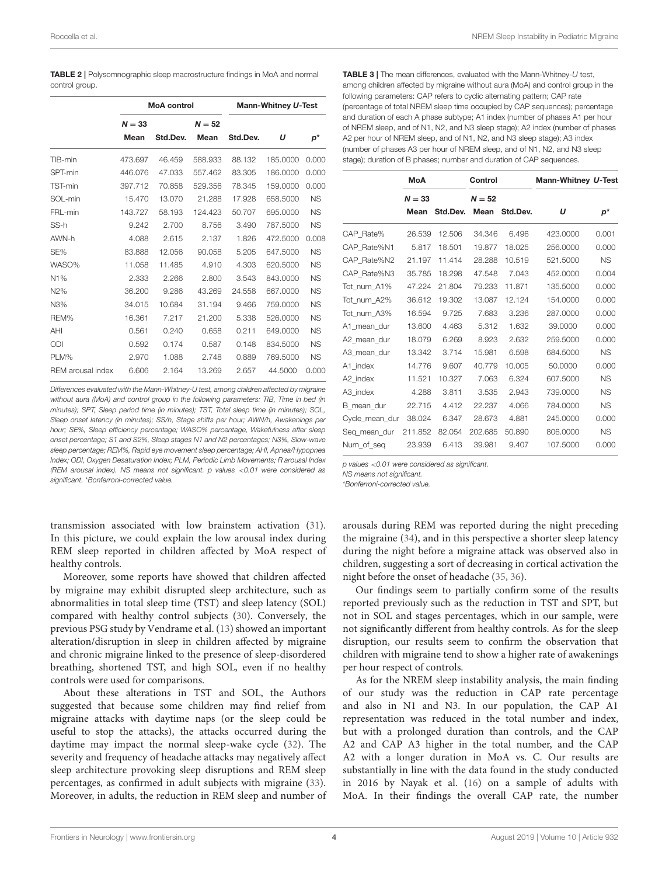<span id="page-3-0"></span>

| <b>TABLE 2</b>   Polysomnographic sleep macrostructure findings in MoA and normal |  |  |
|-----------------------------------------------------------------------------------|--|--|
| control group.                                                                    |  |  |

|                   |          | <b>MoA</b> control |          | Mann-Whitney U-Test |          |           |
|-------------------|----------|--------------------|----------|---------------------|----------|-----------|
|                   | $N = 33$ |                    | $N = 52$ |                     |          |           |
|                   | Mean     | Std.Dev.           | Mean     | Std.Dev.            | U        | p*        |
| TIB-min           | 473.697  | 46.459             | 588.933  | 88.132              | 185,0000 | 0.000     |
| SPT-min           | 446.076  | 47.033             | 557.462  | 83.305              | 186,0000 | 0.000     |
| TST-min           | 397.712  | 70.858             | 529.356  | 78.345              | 159,0000 | 0.000     |
| SOL-min           | 15.470   | 13.070             | 21.288   | 17.928              | 658,5000 | <b>NS</b> |
| FRL-min           | 143.727  | 58.193             | 124.423  | 50.707              | 695,0000 | <b>NS</b> |
| SS-h              | 9.242    | 2.700              | 8.756    | 3.490               | 787.5000 | <b>NS</b> |
| AWN-h             | 4.088    | 2.615              | 2.137    | 1.826               | 472,5000 | 0.008     |
| SE%               | 83.888   | 12.056             | 90.058   | 5.205               | 647.5000 | <b>NS</b> |
| WASO%             | 11.058   | 11.485             | 4.910    | 4.303               | 620,5000 | <b>NS</b> |
| N1%               | 2.333    | 2.266              | 2.800    | 3.543               | 843,0000 | <b>NS</b> |
| N2%               | 36.200   | 9.286              | 43.269   | 24.558              | 667,0000 | <b>NS</b> |
| N3%               | 34.015   | 10.684             | 31.194   | 9.466               | 759.0000 | <b>NS</b> |
| REM%              | 16.361   | 7.217              | 21.200   | 5.338               | 526,0000 | <b>NS</b> |
| AHI               | 0.561    | 0.240              | 0.658    | 0.211               | 649,0000 | <b>NS</b> |
| ODI               | 0.592    | 0.174              | 0.587    | 0.148               | 834,5000 | <b>NS</b> |
| PLM%              | 2.970    | 1.088              | 2.748    | 0.889               | 769.5000 | <b>NS</b> |
| REM arousal index | 6.606    | 2.164              | 13.269   | 2.657               | 44.5000  | 0.000     |

Differences evaluated with the Mann-Whitney-U test, among children affected by migraine without aura (MoA) and control group in the following parameters: TIB, Time in bed (in minutes); SPT, Sleep period time (in minutes); TST, Total sleep time (in minutes); SOL, Sleep onset latency (in minutes); SS/h, Stage shifts per hour; AWN/h, Awakenings per hour; SE%, Sleep efficiency percentage; WASO% percentage, Wakefulness after sleep onset percentage; S1 and S2%, Sleep stages N1 and N2 percentages; N3%, Slow-wave sleep percentage; REM%, Rapid eye movement sleep percentage; AHI, Apnea/Hypopnea Index; ODI, Oxygen Desaturation Index; PLM, Periodic Limb Movements; R arousal Index (REM arousal index). NS means not significant. p values <0.01 were considered as significant. \*Bonferroni-corrected value.

transmission associated with low brainstem activation [\(31\)](#page-5-7). In this picture, we could explain the low arousal index during REM sleep reported in children affected by MoA respect of healthy controls.

Moreover, some reports have showed that children affected by migraine may exhibit disrupted sleep architecture, such as abnormalities in total sleep time (TST) and sleep latency (SOL) compared with healthy control subjects [\(30\)](#page-5-6). Conversely, the previous PSG study by Vendrame et al. [\(13\)](#page-4-10) showed an important alteration/disruption in sleep in children affected by migraine and chronic migraine linked to the presence of sleep-disordered breathing, shortened TST, and high SOL, even if no healthy controls were used for comparisons.

About these alterations in TST and SOL, the Authors suggested that because some children may find relief from migraine attacks with daytime naps (or the sleep could be useful to stop the attacks), the attacks occurred during the daytime may impact the normal sleep-wake cycle [\(32\)](#page-5-8). The severity and frequency of headache attacks may negatively affect sleep architecture provoking sleep disruptions and REM sleep percentages, as confirmed in adult subjects with migraine [\(33\)](#page-5-9). Moreover, in adults, the reduction in REM sleep and number of <span id="page-3-1"></span>TABLE 3 | The mean differences, evaluated with the Mann-Whitney-U test, among children affected by migraine without aura (MoA) and control group in the following parameters: CAP refers to cyclic alternating pattern; CAP rate (percentage of total NREM sleep time occupied by CAP sequences); percentage and duration of each A phase subtype; A1 index (number of phases A1 per hour of NREM sleep, and of N1, N2, and N3 sleep stage); A2 index (number of phases A2 per hour of NREM sleep, and of N1, N2, and N3 sleep stage); A3 index (number of phases A3 per hour of NREM sleep, and of N1, N2, and N3 sleep stage); duration of B phases; number and duration of CAP sequences.

|                | MoA      |          | Control  |          | Mann-Whitney U-Test |           |
|----------------|----------|----------|----------|----------|---------------------|-----------|
|                | $N = 33$ |          | $N = 52$ |          |                     |           |
|                | Mean     | Std.Dev. | Mean     | Std.Dev. | U                   | p*        |
| CAP Rate%      | 26.539   | 12.506   | 34.346   | 6.496    | 423.0000            | 0.001     |
| CAP Rate%N1    | 5.817    | 18.501   | 19.877   | 18.025   | 256,0000            | 0.000     |
| CAP Rate%N2    | 21.197   | 11.414   | 28.288   | 10.519   | 521.5000            | <b>NS</b> |
| CAP Rate%N3    | 35.785   | 18.298   | 47.548   | 7.043    | 452.0000            | 0.004     |
| Tot num A1%    | 47.224   | 21.804   | 79.233   | 11.871   | 135,5000            | 0.000     |
| Tot num A2%    | 36.612   | 19.302   | 13.087   | 12.124   | 154.0000            | 0.000     |
| Tot num A3%    | 16.594   | 9.725    | 7.683    | 3.236    | 287.0000            | 0.000     |
| A1 mean dur    | 13.600   | 4.463    | 5.312    | 1.632    | 39,0000             | 0.000     |
| A2 mean dur    | 18.079   | 6.269    | 8.923    | 2.632    | 259,5000            | 0.000     |
| A3 mean dur    | 13.342   | 3.714    | 15.981   | 6.598    | 684.5000            | <b>NS</b> |
| A1 index       | 14.776   | 9.607    | 40.779   | 10.005   | 50,0000             | 0.000     |
| A2 index       | 11.521   | 10.327   | 7.063    | 6.324    | 607.5000            | <b>NS</b> |
| A3 index       | 4.288    | 3.811    | 3.535    | 2.943    | 739.0000            | <b>NS</b> |
| B mean dur     | 22.715   | 4.412    | 22.237   | 4.066    | 784.0000            | <b>NS</b> |
| Cycle_mean_dur | 38.024   | 6.347    | 28.673   | 4.881    | 245.0000            | 0.000     |
| Seg mean dur   | 211.852  | 82.054   | 202.685  | 50.890   | 806,0000            | <b>NS</b> |
| Num of seg     | 23.939   | 6.413    | 39.981   | 9.407    | 107.5000            | 0.000     |
|                |          |          |          |          |                     |           |

p values <0.01 were considered as significant.

NS means not significant.

\*Bonferroni-corrected value.

arousals during REM was reported during the night preceding the migraine [\(34\)](#page-5-10), and in this perspective a shorter sleep latency during the night before a migraine attack was observed also in children, suggesting a sort of decreasing in cortical activation the night before the onset of headache [\(35,](#page-5-11) [36\)](#page-5-12).

Our findings seem to partially confirm some of the results reported previously such as the reduction in TST and SPT, but not in SOL and stages percentages, which in our sample, were not significantly different from healthy controls. As for the sleep disruption, our results seem to confirm the observation that children with migraine tend to show a higher rate of awakenings per hour respect of controls.

As for the NREM sleep instability analysis, the main finding of our study was the reduction in CAP rate percentage and also in N1 and N3. In our population, the CAP A1 representation was reduced in the total number and index, but with a prolonged duration than controls, and the CAP A2 and CAP A3 higher in the total number, and the CAP A2 with a longer duration in MoA vs. C. Our results are substantially in line with the data found in the study conducted in 2016 by Nayak et al. [\(16\)](#page-4-13) on a sample of adults with MoA. In their findings the overall CAP rate, the number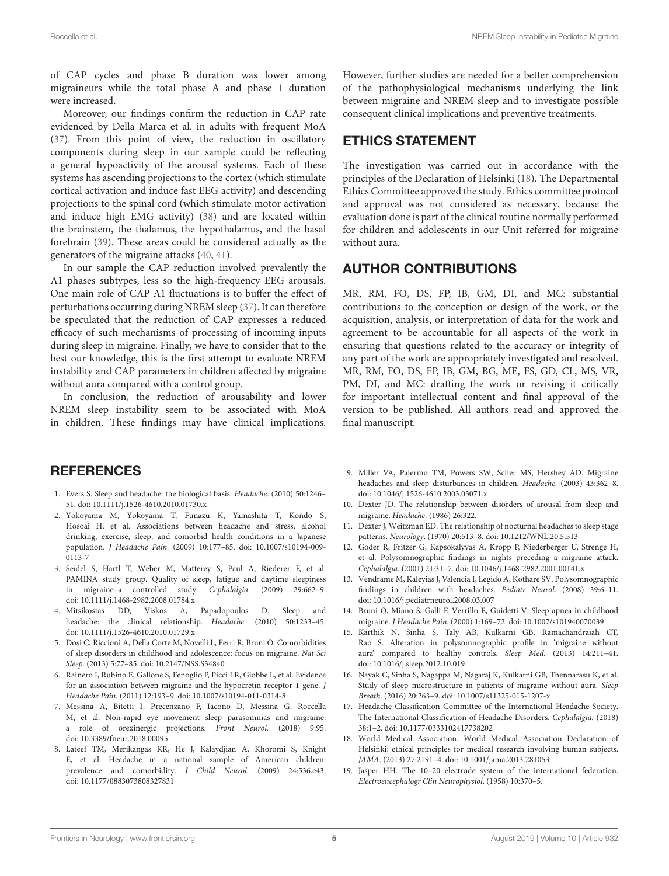of CAP cycles and phase B duration was lower among migraineurs while the total phase A and phase 1 duration were increased.

Moreover, our findings confirm the reduction in CAP rate evidenced by Della Marca et al. in adults with frequent MoA [\(37\)](#page-5-13). From this point of view, the reduction in oscillatory components during sleep in our sample could be reflecting a general hypoactivity of the arousal systems. Each of these systems has ascending projections to the cortex (which stimulate cortical activation and induce fast EEG activity) and descending projections to the spinal cord (which stimulate motor activation and induce high EMG activity) [\(38\)](#page-5-14) and are located within the brainstem, the thalamus, the hypothalamus, and the basal forebrain [\(39\)](#page-5-15). These areas could be considered actually as the generators of the migraine attacks [\(40,](#page-5-16) [41\)](#page-5-17).

In our sample the CAP reduction involved prevalently the A1 phases subtypes, less so the high-frequency EEG arousals. One main role of CAP A1 fluctuations is to buffer the effect of perturbations occurring during NREM sleep [\(37\)](#page-5-13). It can therefore be speculated that the reduction of CAP expresses a reduced efficacy of such mechanisms of processing of incoming inputs during sleep in migraine. Finally, we have to consider that to the best our knowledge, this is the first attempt to evaluate NREM instability and CAP parameters in children affected by migraine without aura compared with a control group.

In conclusion, the reduction of arousability and lower NREM sleep instability seem to be associated with MoA in children. These findings may have clinical implications.

### **REFERENCES**

- <span id="page-4-0"></span>1. Evers S. Sleep and headache: the biological basis. Headache. (2010) 50:1246– 51. doi: [10.1111/j.1526-4610.2010.01730.x](https://doi.org/10.1111/j.1526-4610.2010.01730.x)
- <span id="page-4-1"></span>2. Yokoyama M, Yokoyama T, Funazu K, Yamashita T, Kondo S, Hosoai H, et al. Associations between headache and stress, alcohol drinking, exercise, sleep, and comorbid health conditions in a Japanese population. J Headache Pain. [\(2009\) 10:177–85. doi: 10.1007/s10194-009-](https://doi.org/10.1007/s10194-009-0113-7) 0113-7
- 3. Seidel S, Hartl T, Weber M, Matterey S, Paul A, Riederer F, et al. PAMINA study group. Quality of sleep, fatigue and daytime sleepiness in migraine–a controlled study. Cephalalgia. (2009) 29:662–9. doi: [10.1111/j.1468-2982.2008.01784.x](https://doi.org/10.1111/j.1468-2982.2008.01784.x)
- <span id="page-4-2"></span>4. Mitsikostas DD, Viskos A, Papadopoulos D. Sleep and headache: the clinical relationship. Headache. (2010) 50:1233–45. doi: [10.1111/j.1526-4610.2010.01729.x](https://doi.org/10.1111/j.1526-4610.2010.01729.x)
- <span id="page-4-3"></span>5. Dosi C, Riccioni A, Della Corte M, Novelli L, Ferri R, Bruni O. Comorbidities of sleep disorders in childhood and adolescence: focus on migraine. Nat Sci Sleep. (2013) 5:77–85. doi: [10.2147/NSS.S34840](https://doi.org/10.2147/NSS.S34840)
- 6. Rainero I, Rubino E, Gallone S, Fenoglio P, Picci LR, Giobbe L, et al. Evidence for an association between migraine and the hypocretin receptor 1 gene. J Headache Pain. (2011) 12:193–9. doi: [10.1007/s10194-011-0314-8](https://doi.org/10.1007/s10194-011-0314-8)
- <span id="page-4-4"></span>7. Messina A, Bitetti I, Precenzano F, Iacono D, Messina G, Roccella M, et al. Non-rapid eye movement sleep parasomnias and migraine: a role of orexinergic projections. Front Neurol. (2018) 9:95. doi: [10.3389/fneur.2018.00095](https://doi.org/10.3389/fneur.2018.00095)
- <span id="page-4-5"></span>8. Lateef TM, Merikangas KR, He J, Kalaydjian A, Khoromi S, Knight E, et al. Headache in a national sample of American children: prevalence and comorbidity. J Child Neurol. (2009) 24:536.e43. doi: [10.1177/0883073808327831](https://doi.org/10.1177/0883073808327831)

However, further studies are needed for a better comprehension of the pathophysiological mechanisms underlying the link between migraine and NREM sleep and to investigate possible consequent clinical implications and preventive treatments.

### ETHICS STATEMENT

The investigation was carried out in accordance with the principles of the Declaration of Helsinki [\(18\)](#page-4-15). The Departmental Ethics Committee approved the study. Ethics committee protocol and approval was not considered as necessary, because the evaluation done is part of the clinical routine normally performed for children and adolescents in our Unit referred for migraine without aura.

#### AUTHOR CONTRIBUTIONS

MR, RM, FO, DS, FP, IB, GM, DI, and MC: substantial contributions to the conception or design of the work, or the acquisition, analysis, or interpretation of data for the work and agreement to be accountable for all aspects of the work in ensuring that questions related to the accuracy or integrity of any part of the work are appropriately investigated and resolved. MR, RM, FO, DS, FP, IB, GM, BG, ME, FS, GD, CL, MS, VR, PM, DI, and MC: drafting the work or revising it critically for important intellectual content and final approval of the version to be published. All authors read and approved the final manuscript.

- <span id="page-4-6"></span>9. Miller VA, Palermo TM, Powers SW, Scher MS, Hershey AD. Migraine headaches and sleep disturbances in children. Headache. (2003) 43:362–8. doi: [10.1046/j.1526-4610.2003.03071.x](https://doi.org/10.1046/j.1526-4610.2003.03071.x)
- <span id="page-4-7"></span>10. Dexter JD. The relationship between disorders of arousal from sleep and migraine. Headache. (1986) 26:322.
- <span id="page-4-8"></span>11. Dexter J, Weitzman ED. The relationship of nocturnal headaches to sleep stage patterns. Neurology. (1970) 20:513–8. doi: [10.1212/WNL.20.5.513](https://doi.org/10.1212/WNL.20.5.513)
- <span id="page-4-9"></span>12. Goder R, Fritzer G, Kapsokalyvas A, Kropp P, Niederberger U, Strenge H, et al. Polysomnographic findings in nights preceding a migraine attack. Cephalalgia. (2001) 21:31–7. doi: [10.1046/j.1468-2982.2001.00141.x](https://doi.org/10.1046/j.1468-2982.2001.00141.x)
- <span id="page-4-10"></span>13. Vendrame M, Kaleyias J, Valencia I, Legido A, Kothare SV. Polysomnographic findings in children with headaches. Pediatr Neurol. (2008) 39:6–11. doi: [10.1016/j.pediatrneurol.2008.03.007](https://doi.org/10.1016/j.pediatrneurol.2008.03.007)
- <span id="page-4-11"></span>14. Bruni O, Miano S, Galli F, Verrillo E, Guidetti V. Sleep apnea in childhood migraine. J Headache Pain. (2000) 1:169–72. doi: [10.1007/s101940070039](https://doi.org/10.1007/s101940070039)
- <span id="page-4-12"></span>15. Karthik N, Sinha S, Taly AB, Kulkarni GB, Ramachandraiah CT, Rao S. Alteration in polysomnographic profile in 'migraine without aura' compared to healthy controls. Sleep Med. (2013) 14:211–41. doi: [10.1016/j.sleep.2012.10.019](https://doi.org/10.1016/j.sleep.2012.10.019)
- <span id="page-4-13"></span>16. Nayak C, Sinha S, Nagappa M, Nagaraj K, Kulkarni GB, Thennarasu K, et al. Study of sleep microstructure in patients of migraine without aura. Sleep Breath. (2016) 20:263–9. doi: [10.1007/s11325-015-1207-x](https://doi.org/10.1007/s11325-015-1207-x)
- <span id="page-4-14"></span>17. Headache Classification Committee of the International Headache Society. The International Classification of Headache Disorders. Cephalalgia. (2018) 38:1–2. doi: [10.1177/0333102417738202](https://doi.org/10.1177/0333102417738202)
- <span id="page-4-15"></span>18. World Medical Association. World Medical Association Declaration of Helsinki: ethical principles for medical research involving human subjects. JAMA. (2013) 27:2191–4. doi: [10.1001/jama.2013.281053](https://doi.org/10.1001/jama.2013.281053)
- <span id="page-4-16"></span>19. Jasper HH. The 10–20 electrode system of the international federation. Electroencephalogr Clin Neurophysiol. (1958) 10:370–5.